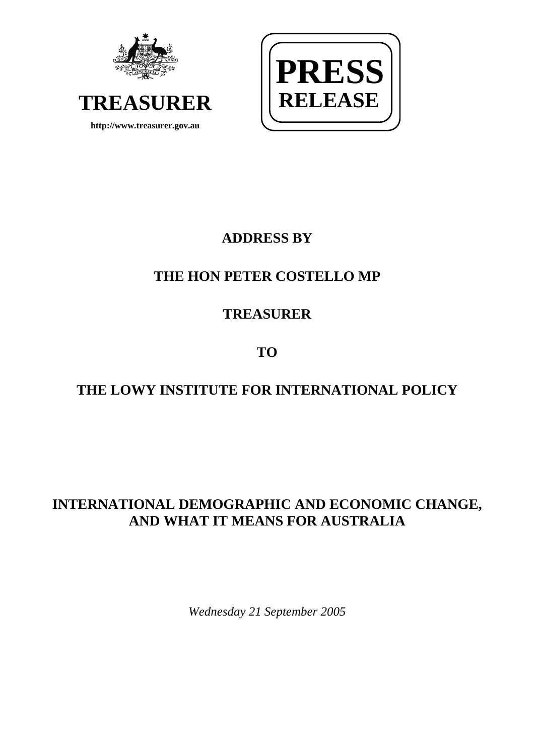



## **ADDRESS BY**

# **THE HON PETER COSTELLO MP**

# **TREASURER**

**TO** 

# **THE LOWY INSTITUTE FOR INTERNATIONAL POLICY**

### **INTERNATIONAL DEMOGRAPHIC AND ECONOMIC CHANGE, AND WHAT IT MEANS FOR AUSTRALIA**

*Wednesday 21 September 2005*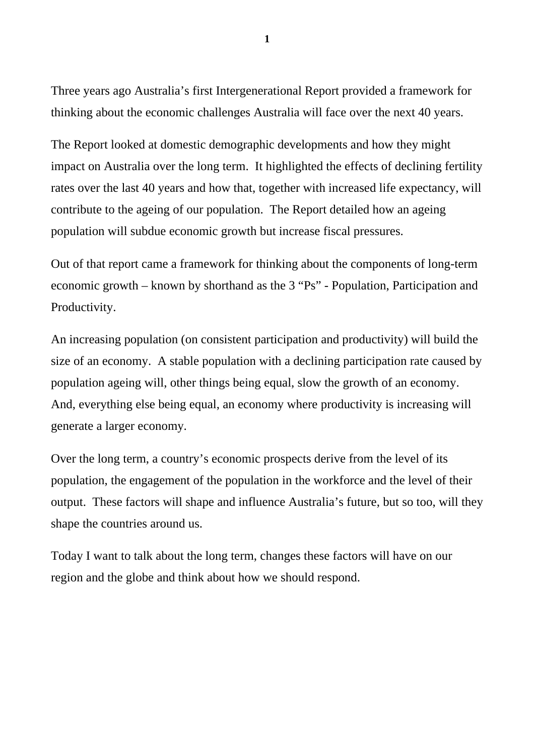Three years ago Australia's first Intergenerational Report provided a framework for thinking about the economic challenges Australia will face over the next 40 years.

The Report looked at domestic demographic developments and how they might impact on Australia over the long term. It highlighted the effects of declining fertility rates over the last 40 years and how that, together with increased life expectancy, will contribute to the ageing of our population. The Report detailed how an ageing population will subdue economic growth but increase fiscal pressures.

Out of that report came a framework for thinking about the components of long-term economic growth – known by shorthand as the 3 "Ps" - Population, Participation and Productivity.

An increasing population (on consistent participation and productivity) will build the size of an economy. A stable population with a declining participation rate caused by population ageing will, other things being equal, slow the growth of an economy. And, everything else being equal, an economy where productivity is increasing will generate a larger economy.

Over the long term, a country's economic prospects derive from the level of its population, the engagement of the population in the workforce and the level of their output. These factors will shape and influence Australia's future, but so too, will they shape the countries around us.

Today I want to talk about the long term, changes these factors will have on our region and the globe and think about how we should respond.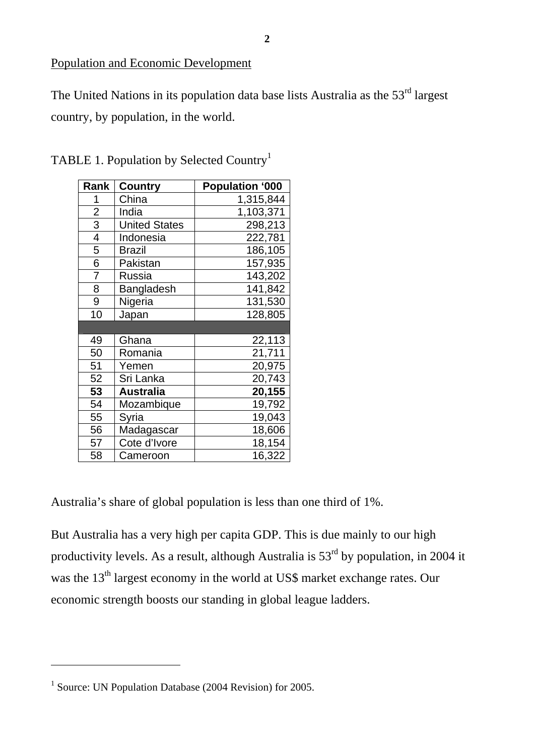Population and Economic Development

The United Nations in its population data base lists Australia as the  $53<sup>rd</sup>$  largest country, by population, in the world.

| Rank           | <b>Country</b>       | <b>Population '000</b> |
|----------------|----------------------|------------------------|
| 1              | China                | 1,315,844              |
| $\overline{2}$ | India                | 1,103,371              |
| 3              | <b>United States</b> | 298,213                |
| 4              | Indonesia            | 222,781                |
| 5              | <b>Brazil</b>        | 186,105                |
| 6              | Pakistan             | 157,935                |
| 7              | Russia               | 143,202                |
| 8              | Bangladesh           | 141,842                |
| 9              | Nigeria              | 131,530                |
| 10             | Japan                | 128,805                |
|                |                      |                        |
| 49             | Ghana                | 22,113                 |
| 50             | Romania              | 21,711                 |
| 51             | Yemen                | 20,975                 |
| 52             | Sri Lanka            | 20,743                 |
| 53             | <b>Australia</b>     | 20,155                 |
| 54             | Mozambique           | 19,792                 |
| 55             | Syria                | 19,043                 |
| 56             | Madagascar           | 18,606                 |
| 57             | Cote d'Ivore         | 18,154                 |
| 58             | Cameroon             | 16,322                 |

TABLE [1](#page-2-0). Population by Selected Country<sup>1</sup>

Australia's share of global population is less than one third of 1%.

But Australia has a very high per capita GDP. This is due mainly to our high productivity levels. As a result, although Australia is  $53<sup>rd</sup>$  by population, in 2004 it was the 13<sup>th</sup> largest economy in the world at US\$ market exchange rates. Our economic strength boosts our standing in global league ladders.

<span id="page-2-0"></span><sup>&</sup>lt;sup>1</sup> Source: UN Population Database (2004 Revision) for 2005.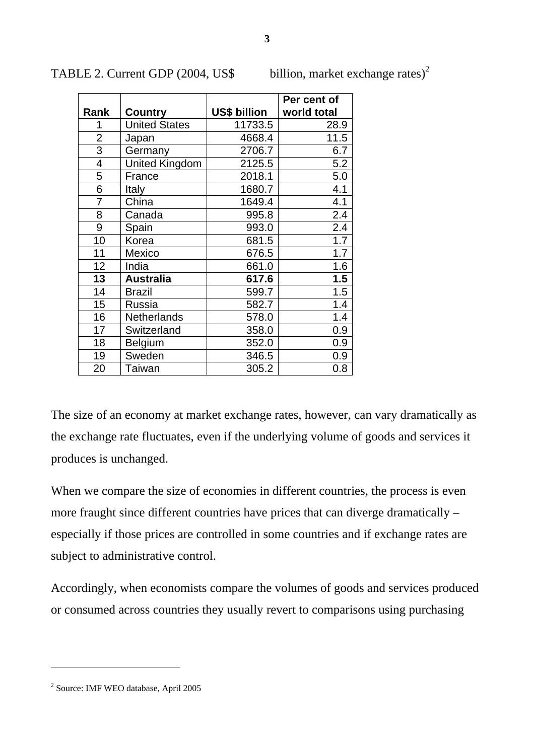|                |                       |                     | Per cent of |
|----------------|-----------------------|---------------------|-------------|
| Rank           | Country               | <b>US\$ billion</b> | world total |
| 1              | <b>United States</b>  | 11733.5             | 28.9        |
| $\overline{2}$ | Japan                 | 4668.4              | 11.5        |
| $\overline{3}$ | Germany               | 2706.7              | 6.7         |
| 4              | <b>United Kingdom</b> | 2125.5              | 5.2         |
| 5              | France                | 2018.1              | 5.0         |
| 6              | Italy                 | 1680.7              | 4.1         |
| 7              | China                 | 1649.4              | 4.1         |
| 8              | Canada                | 995.8               | 2.4         |
| 9              | Spain                 | 993.0               | 2.4         |
| 10             | Korea                 | 681.5               | 1.7         |
| 11             | Mexico                | 676.5               | 1.7         |
| 12             | India                 | 661.0               | 1.6         |
| 13             | <b>Australia</b>      | 617.6               | 1.5         |
| 14             | <b>Brazil</b>         | 599.7               | 1.5         |
| 15             | Russia                | 582.7               | 1.4         |
| 16             | Netherlands           | 578.0               | 1.4         |
| 17             | Switzerland           | 358.0               | 0.9         |
| 18             | Belgium               | 352.0               | 0.9         |
| 19             | Sweden                | 346.5               | 0.9         |
| 20             | Taiwan                | 305.2               | 0.8         |

TABLE [2](#page-3-0). Current GDP (2004, US\$ billion, market exchange rates)<sup>2</sup>

The size of an economy at market exchange rates, however, can vary dramatically as the exchange rate fluctuates, even if the underlying volume of goods and services it produces is unchanged.

When we compare the size of economies in different countries, the process is even more fraught since different countries have prices that can diverge dramatically – especially if those prices are controlled in some countries and if exchange rates are subject to administrative control.

Accordingly, when economists compare the volumes of goods and services produced or consumed across countries they usually revert to comparisons using purchasing

<span id="page-3-0"></span>Source: IMF WEO database, April 2005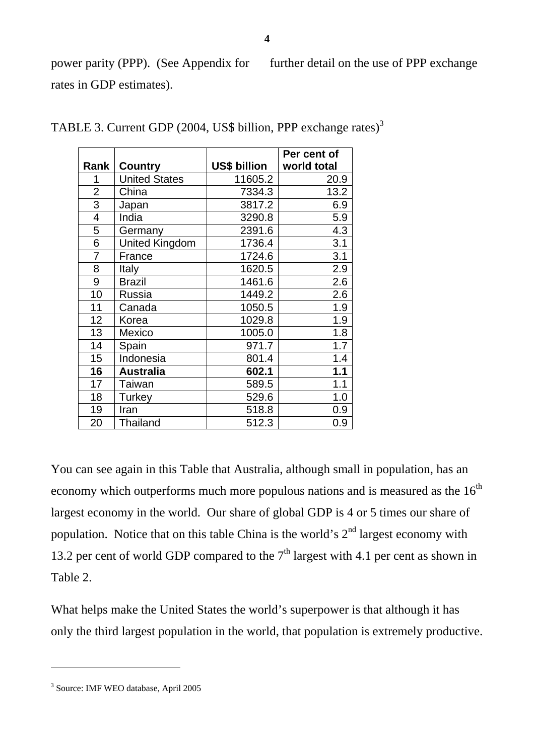power parity (PPP). (See Appendix for further detail on the use of PPP exchange rates in GDP estimates).

|                |                       |                     | Per cent of |
|----------------|-----------------------|---------------------|-------------|
| Rank           | <b>Country</b>        | <b>US\$ billion</b> | world total |
| 1              | <b>United States</b>  | 11605.2             | 20.9        |
| $\overline{2}$ | China                 | 7334.3              | 13.2        |
| $\overline{3}$ | Japan                 | 3817.2              | 6.9         |
| 4              | India                 | 3290.8              | 5.9         |
| 5              | Germany               | 2391.6              | 4.3         |
| 6              | <b>United Kingdom</b> | 1736.4              | 3.1         |
| $\overline{7}$ | France                | 1724.6              | 3.1         |
| 8              | Italy                 | 1620.5              | 2.9         |
| 9              | <b>Brazil</b>         | 1461.6              | 2.6         |
| 10             | Russia                | 1449.2              | 2.6         |
| 11             | Canada                | 1050.5              | 1.9         |
| 12             | Korea                 | 1029.8              | 1.9         |
| 13             | Mexico                | 1005.0              | 1.8         |
| 14             | Spain                 | 971.7               | 1.7         |
| 15             | Indonesia             | 801.4               | 1.4         |
| 16             | <b>Australia</b>      | 602.1               | 1.1         |
| 17             | Taiwan                | 589.5               | 1.1         |
| 18             | Turkey                | 529.6               | 1.0         |
| 19             | Iran                  | 518.8               | 0.9         |
| 20             | <b>Thailand</b>       | 512.3               | 0.9         |

TABLE [3](#page-4-0). Current GDP (2004, US\$ billion, PPP exchange rates)<sup>3</sup>

You can see again in this Table that Australia, although small in population, has an economy which outperforms much more populous nations and is measured as the  $16<sup>th</sup>$ largest economy in the world. Our share of global GDP is 4 or 5 times our share of population. Notice that on this table China is the world's  $2<sup>nd</sup>$  largest economy with 13.2 per cent of world GDP compared to the  $7<sup>th</sup>$  largest with 4.1 per cent as shown in Table 2.

What helps make the United States the world's superpower is that although it has only the third largest population in the world, that population is extremely productive.

<span id="page-4-0"></span><sup>3</sup> Source: IMF WEO database, April 2005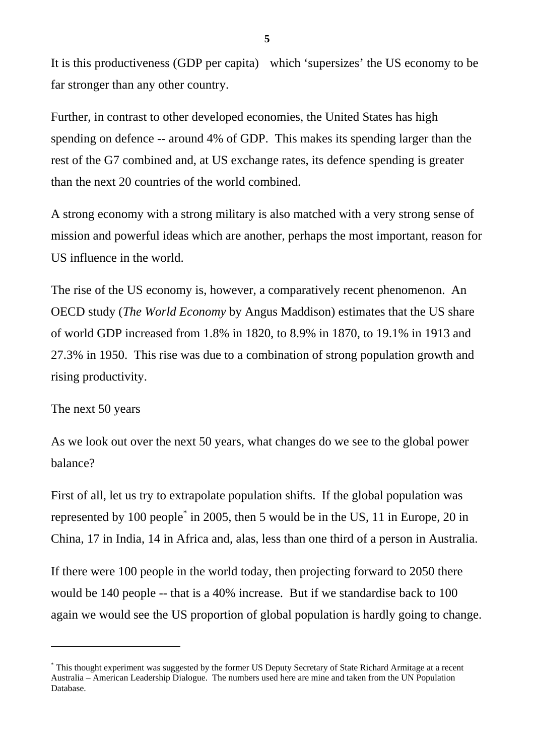It is this productiveness (GDP per capita) which 'supersizes' the US economy to be far stronger than any other country.

Further, in contrast to other developed economies, the United States has high spending on defence -- around 4% of GDP. This makes its spending larger than the rest of the G7 combined and, at US exchange rates, its defence spending is greater than the next 20 countries of the world combined.

A strong economy with a strong military is also matched with a very strong sense of mission and powerful ideas which are another, perhaps the most important, reason for US influence in the world.

The rise of the US economy is, however, a comparatively recent phenomenon. An OECD study (*The World Economy* by Angus Maddison) estimates that the US share of world GDP increased from 1.8% in 1820, to 8.9% in 1870, to 19.1% in 1913 and 27.3% in 1950. This rise was due to a combination of strong population growth and rising productivity.

### The next 50 years

 $\overline{a}$ 

As we look out over the next 50 years, what changes do we see to the global power balance?

First of all, let us try to extrapolate population shifts. If the global population was represented by 100 peopl[e\\*](#page-5-0) in 2005, then 5 would be in the US, 11 in Europe, 20 in China, 17 in India, 14 in Africa and, alas, less than one third of a person in Australia.

If there were 100 people in the world today, then projecting forward to 2050 there would be 140 people -- that is a 40% increase. But if we standardise back to 100 again we would see the US proportion of global population is hardly going to change.

<span id="page-5-0"></span><sup>\*</sup> This thought experiment was suggested by the former US Deputy Secretary of State Richard Armitage at a recent Australia – American Leadership Dialogue. The numbers used here are mine and taken from the UN Population Database.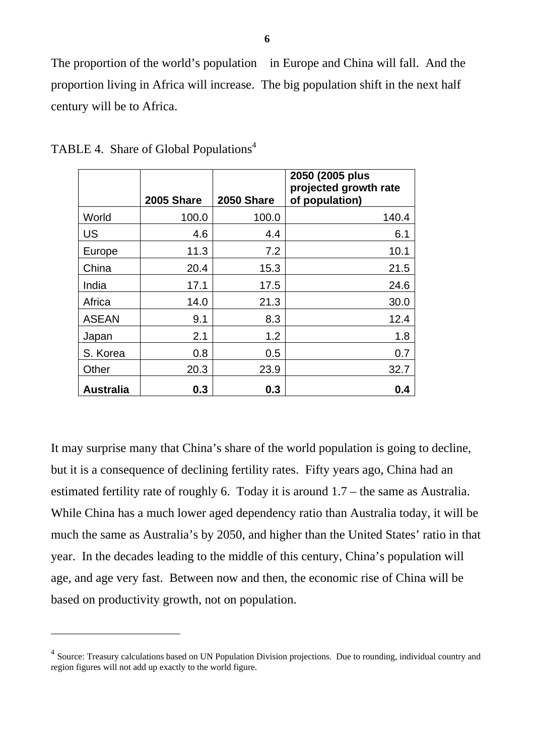The proportion of the world's population in Europe and China will fall. And the proportion living in Africa will increase. The big population shift in the next half century will be to Africa.

|                  | <b>2005 Share</b> | 2050 Share | 2050 (2005 plus<br>projected growth rate<br>of population) |
|------------------|-------------------|------------|------------------------------------------------------------|
| World            | 100.0             | 100.0      | 140.4                                                      |
| US               | 4.6               | 4.4        | 6.1                                                        |
| Europe           | 11.3              | 7.2        | 10.1                                                       |
| China            | 20.4              | 15.3       | 21.5                                                       |
| India            | 17.1              | 17.5       | 24.6                                                       |
| Africa           | 14.0              | 21.3       | 30.0                                                       |
| <b>ASEAN</b>     | 9.1               | 8.3        | 12.4                                                       |
| Japan            | 2.1               | 1.2        | 1.8                                                        |
| S. Korea         | 0.8               | 0.5        | 0.7                                                        |
| Other            | 20.3              | 23.9       | 32.7                                                       |
| <b>Australia</b> | 0.3               | 0.3        | 0.4                                                        |

TABLE [4](#page-6-0). Share of Global Populations<sup>4</sup>

 $\overline{a}$ 

It may surprise many that China's share of the world population is going to decline, but it is a consequence of declining fertility rates. Fifty years ago, China had an estimated fertility rate of roughly 6. Today it is around 1.7 – the same as Australia. While China has a much lower aged dependency ratio than Australia today, it will be much the same as Australia's by 2050, and higher than the United States' ratio in that year. In the decades leading to the middle of this century, China's population will age, and age very fast. Between now and then, the economic rise of China will be based on productivity growth, not on population.

<span id="page-6-0"></span><sup>&</sup>lt;sup>4</sup> Source: Treasury calculations based on UN Population Division projections. Due to rounding, individual country and region figures will not add up exactly to the world figure.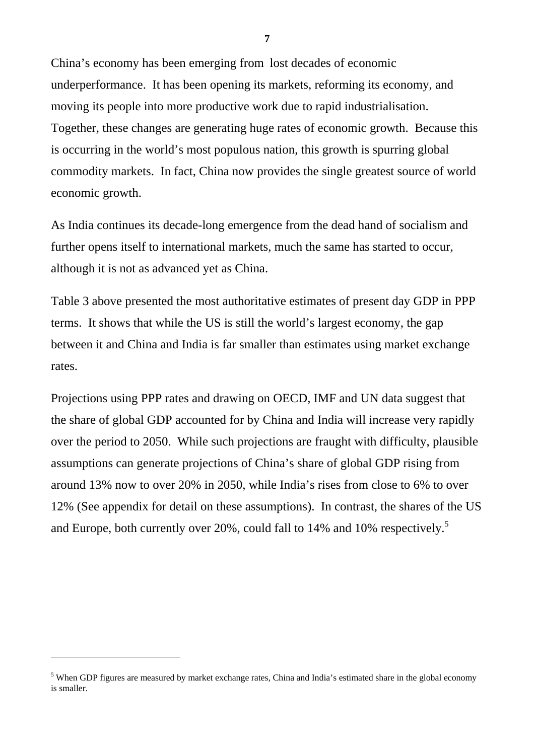China's economy has been emerging from lost decades of economic underperformance. It has been opening its markets, reforming its economy, and moving its people into more productive work due to rapid industrialisation. Together, these changes are generating huge rates of economic growth. Because this is occurring in the world's most populous nation, this growth is spurring global commodity markets. In fact, China now provides the single greatest source of world economic growth.

As India continues its decade-long emergence from the dead hand of socialism and further opens itself to international markets, much the same has started to occur, although it is not as advanced yet as China.

Table 3 above presented the most authoritative estimates of present day GDP in PPP terms. It shows that while the US is still the world's largest economy, the gap between it and China and India is far smaller than estimates using market exchange rates.

Projections using PPP rates and drawing on OECD, IMF and UN data suggest that the share of global GDP accounted for by China and India will increase very rapidly over the period to 2050. While such projections are fraught with difficulty, plausible assumptions can generate projections of China's share of global GDP rising from around 13% now to over 20% in 2050, while India's rises from close to 6% to over 12% (See appendix for detail on these assumptions). In contrast, the shares of the US and Europe, both currently over 20%, could fall to 14% and 10% respectively.<sup>[5](#page-7-0)</sup>

 $\overline{a}$ 

<span id="page-7-0"></span><sup>&</sup>lt;sup>5</sup> When GDP figures are measured by market exchange rates, China and India's estimated share in the global economy is smaller.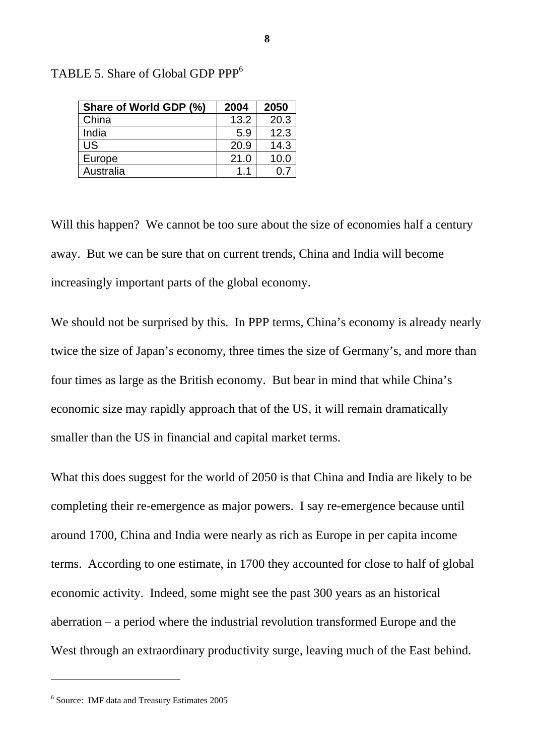| Share of World GDP (%) | 2004 | 2050 |
|------------------------|------|------|
| China                  | 13.2 | 20.3 |
| India                  | 5.9  | 12.3 |
| US.                    | 20.9 | 14.3 |
| Europe                 | 21.0 | 10.0 |
| Australia              | 11   | 0.7  |

TABLE 5. Share of Global GDP PPP<sup>[6](#page-8-0)</sup>

Will this happen? We cannot be too sure about the size of economies half a century away. But we can be sure that on current trends, China and India will become increasingly important parts of the global economy.

We should not be surprised by this. In PPP terms, China's economy is already nearly twice the size of Japan's economy, three times the size of Germany's, and more than four times as large as the British economy. But bear in mind that while China's economic size may rapidly approach that of the US, it will remain dramatically smaller than the US in financial and capital market terms.

What this does suggest for the world of 2050 is that China and India are likely to be completing their re-emergence as major powers. I say re-emergence because until around 1700, China and India were nearly as rich as Europe in per capita income terms. According to one estimate, in 1700 they accounted for close to half of global economic activity. Indeed, some might see the past 300 years as an historical aberration – a period where the industrial revolution transformed Europe and the West through an extraordinary productivity surge, leaving much of the East behind.

<span id="page-8-0"></span><sup>6</sup> Source: IMF data and Treasury Estimates 2005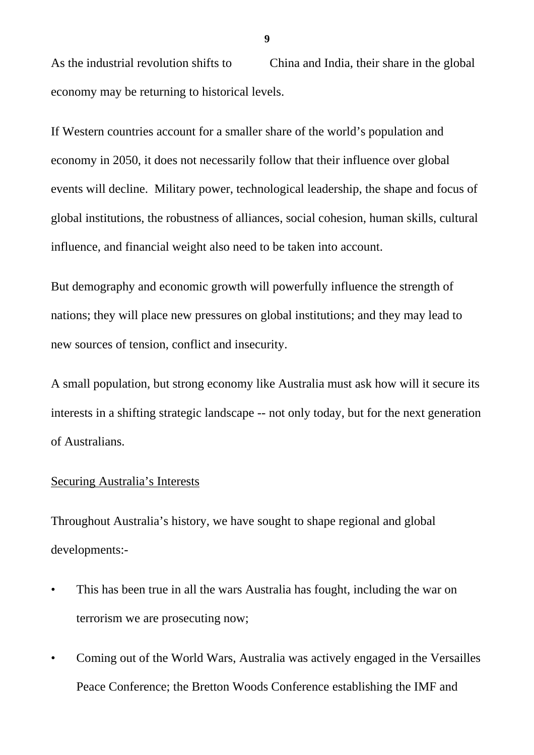As the industrial revolution shifts to China and India, their share in the global economy may be returning to historical levels.

If Western countries account for a smaller share of the world's population and economy in 2050, it does not necessarily follow that their influence over global events will decline. Military power, technological leadership, the shape and focus of global institutions, the robustness of alliances, social cohesion, human skills, cultural influence, and financial weight also need to be taken into account.

But demography and economic growth will powerfully influence the strength of nations; they will place new pressures on global institutions; and they may lead to new sources of tension, conflict and insecurity.

A small population, but strong economy like Australia must ask how will it secure its interests in a shifting strategic landscape -- not only today, but for the next generation of Australians.

### Securing Australia's Interests

Throughout Australia's history, we have sought to shape regional and global developments:-

- This has been true in all the wars Australia has fought, including the war on terrorism we are prosecuting now;
- Coming out of the World Wars, Australia was actively engaged in the Versailles Peace Conference; the Bretton Woods Conference establishing the IMF and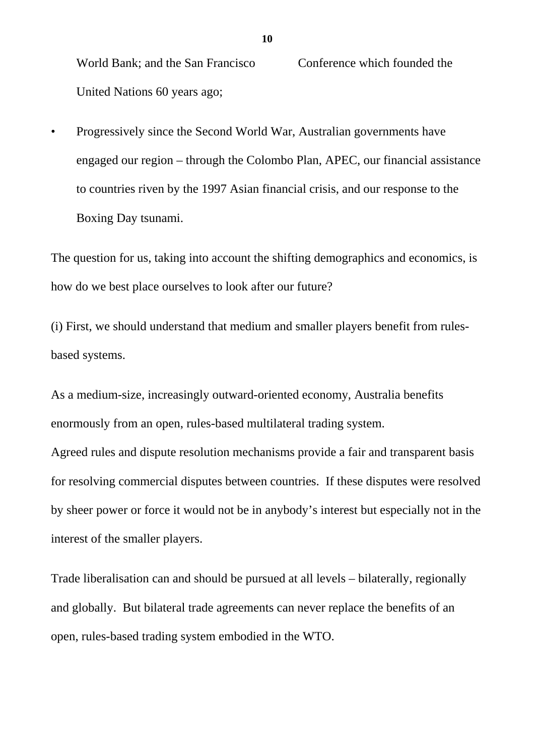World Bank; and the San Francisco Conference which founded the United Nations 60 years ago;

• Progressively since the Second World War, Australian governments have engaged our region – through the Colombo Plan, APEC, our financial assistance to countries riven by the 1997 Asian financial crisis, and our response to the Boxing Day tsunami.

The question for us, taking into account the shifting demographics and economics, is how do we best place ourselves to look after our future?

(i) First, we should understand that medium and smaller players benefit from rulesbased systems.

As a medium-size, increasingly outward-oriented economy, Australia benefits enormously from an open, rules-based multilateral trading system.

Agreed rules and dispute resolution mechanisms provide a fair and transparent basis for resolving commercial disputes between countries. If these disputes were resolved by sheer power or force it would not be in anybody's interest but especially not in the interest of the smaller players.

Trade liberalisation can and should be pursued at all levels – bilaterally, regionally and globally. But bilateral trade agreements can never replace the benefits of an open, rules-based trading system embodied in the WTO.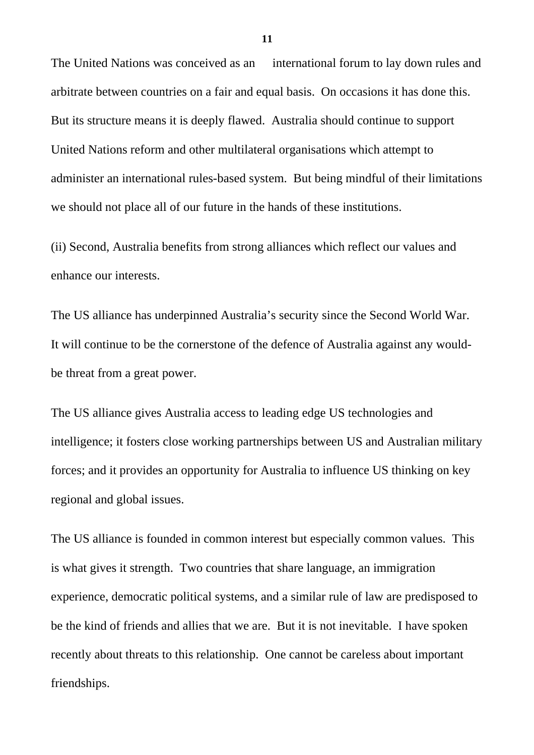The United Nations was conceived as an international forum to lay down rules and arbitrate between countries on a fair and equal basis. On occasions it has done this. But its structure means it is deeply flawed. Australia should continue to support United Nations reform and other multilateral organisations which attempt to administer an international rules-based system. But being mindful of their limitations we should not place all of our future in the hands of these institutions.

(ii) Second, Australia benefits from strong alliances which reflect our values and enhance our interests.

The US alliance has underpinned Australia's security since the Second World War. It will continue to be the cornerstone of the defence of Australia against any wouldbe threat from a great power.

The US alliance gives Australia access to leading edge US technologies and intelligence; it fosters close working partnerships between US and Australian military forces; and it provides an opportunity for Australia to influence US thinking on key regional and global issues.

The US alliance is founded in common interest but especially common values. This is what gives it strength. Two countries that share language, an immigration experience, democratic political systems, and a similar rule of law are predisposed to be the kind of friends and allies that we are. But it is not inevitable. I have spoken recently about threats to this relationship. One cannot be careless about important friendships.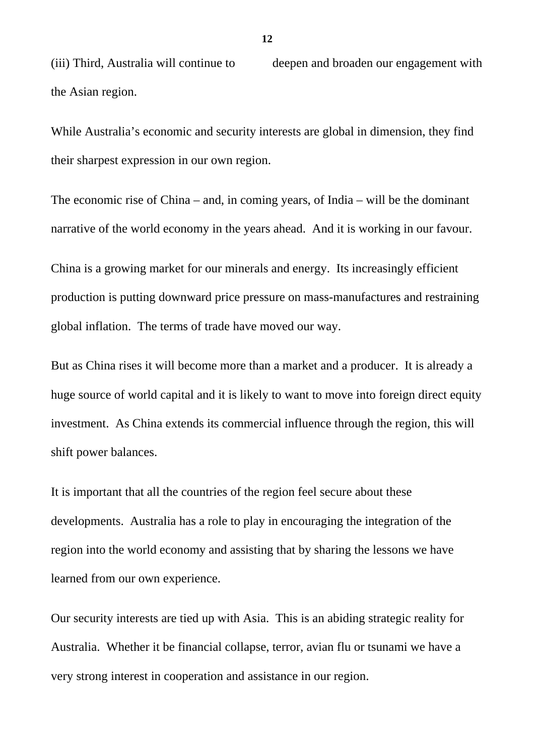(iii) Third, Australia will continue to deepen and broaden our engagement with the Asian region.

While Australia's economic and security interests are global in dimension, they find their sharpest expression in our own region.

The economic rise of China – and, in coming years, of India – will be the dominant narrative of the world economy in the years ahead. And it is working in our favour.

China is a growing market for our minerals and energy. Its increasingly efficient production is putting downward price pressure on mass-manufactures and restraining global inflation. The terms of trade have moved our way.

But as China rises it will become more than a market and a producer. It is already a huge source of world capital and it is likely to want to move into foreign direct equity investment. As China extends its commercial influence through the region, this will shift power balances.

It is important that all the countries of the region feel secure about these developments. Australia has a role to play in encouraging the integration of the region into the world economy and assisting that by sharing the lessons we have learned from our own experience.

Our security interests are tied up with Asia. This is an abiding strategic reality for Australia. Whether it be financial collapse, terror, avian flu or tsunami we have a very strong interest in cooperation and assistance in our region.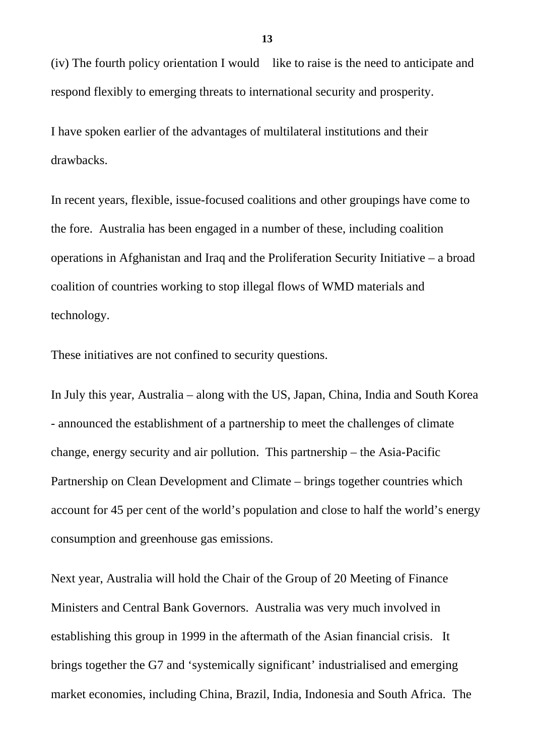(iv) The fourth policy orientation I would like to raise is the need to anticipate and respond flexibly to emerging threats to international security and prosperity.

I have spoken earlier of the advantages of multilateral institutions and their drawbacks.

In recent years, flexible, issue-focused coalitions and other groupings have come to the fore. Australia has been engaged in a number of these, including coalition operations in Afghanistan and Iraq and the Proliferation Security Initiative – a broad coalition of countries working to stop illegal flows of WMD materials and technology.

These initiatives are not confined to security questions.

In July this year, Australia – along with the US, Japan, China, India and South Korea - announced the establishment of a partnership to meet the challenges of climate change, energy security and air pollution. This partnership – the Asia-Pacific Partnership on Clean Development and Climate – brings together countries which account for 45 per cent of the world's population and close to half the world's energy consumption and greenhouse gas emissions.

Next year, Australia will hold the Chair of the Group of 20 Meeting of Finance Ministers and Central Bank Governors. Australia was very much involved in establishing this group in 1999 in the aftermath of the Asian financial crisis. It brings together the G7 and 'systemically significant' industrialised and emerging market economies, including China, Brazil, India, Indonesia and South Africa. The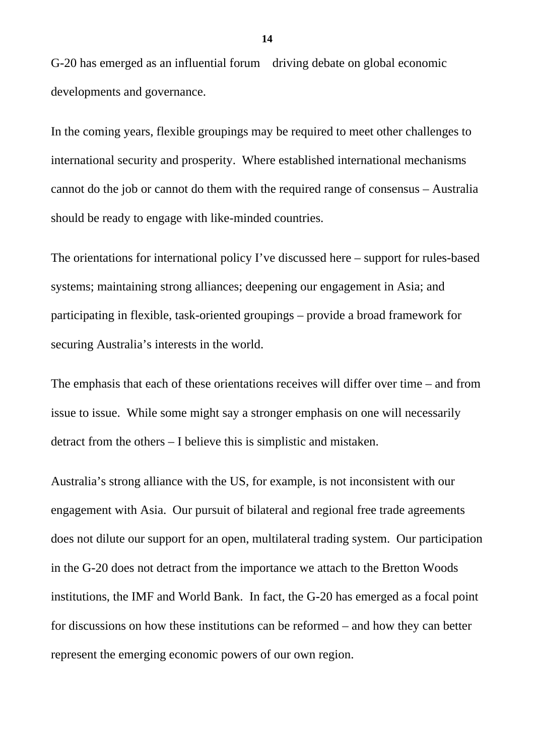G-20 has emerged as an influential forum driving debate on global economic developments and governance.

In the coming years, flexible groupings may be required to meet other challenges to international security and prosperity. Where established international mechanisms cannot do the job or cannot do them with the required range of consensus – Australia should be ready to engage with like-minded countries.

The orientations for international policy I've discussed here – support for rules-based systems; maintaining strong alliances; deepening our engagement in Asia; and participating in flexible, task-oriented groupings – provide a broad framework for securing Australia's interests in the world.

The emphasis that each of these orientations receives will differ over time – and from issue to issue. While some might say a stronger emphasis on one will necessarily detract from the others – I believe this is simplistic and mistaken.

Australia's strong alliance with the US, for example, is not inconsistent with our engagement with Asia. Our pursuit of bilateral and regional free trade agreements does not dilute our support for an open, multilateral trading system. Our participation in the G-20 does not detract from the importance we attach to the Bretton Woods institutions, the IMF and World Bank. In fact, the G-20 has emerged as a focal point for discussions on how these institutions can be reformed – and how they can better represent the emerging economic powers of our own region.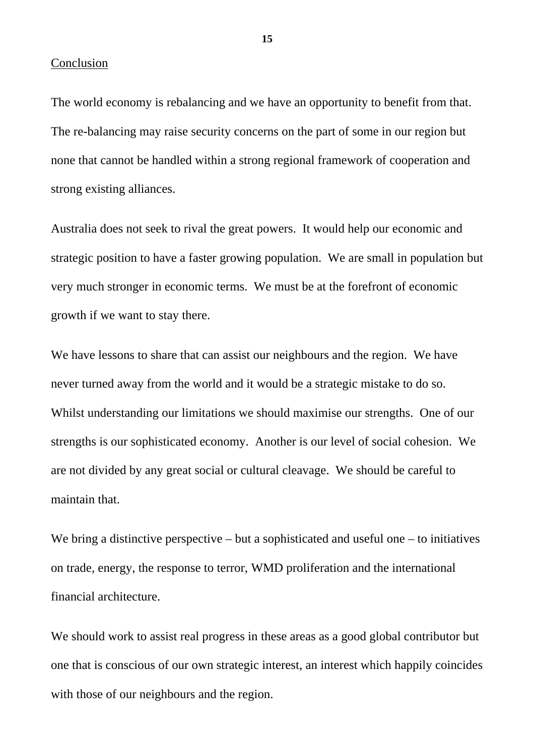#### Conclusion

The world economy is rebalancing and we have an opportunity to benefit from that. The re-balancing may raise security concerns on the part of some in our region but none that cannot be handled within a strong regional framework of cooperation and strong existing alliances.

Australia does not seek to rival the great powers. It would help our economic and strategic position to have a faster growing population. We are small in population but very much stronger in economic terms. We must be at the forefront of economic growth if we want to stay there.

We have lessons to share that can assist our neighbours and the region. We have never turned away from the world and it would be a strategic mistake to do so. Whilst understanding our limitations we should maximise our strengths. One of our strengths is our sophisticated economy. Another is our level of social cohesion. We are not divided by any great social or cultural cleavage. We should be careful to maintain that.

We bring a distinctive perspective  $-\text{but a sophisticated and useful one} - \text{to initiatives}$ on trade, energy, the response to terror, WMD proliferation and the international financial architecture.

We should work to assist real progress in these areas as a good global contributor but one that is conscious of our own strategic interest, an interest which happily coincides with those of our neighbours and the region.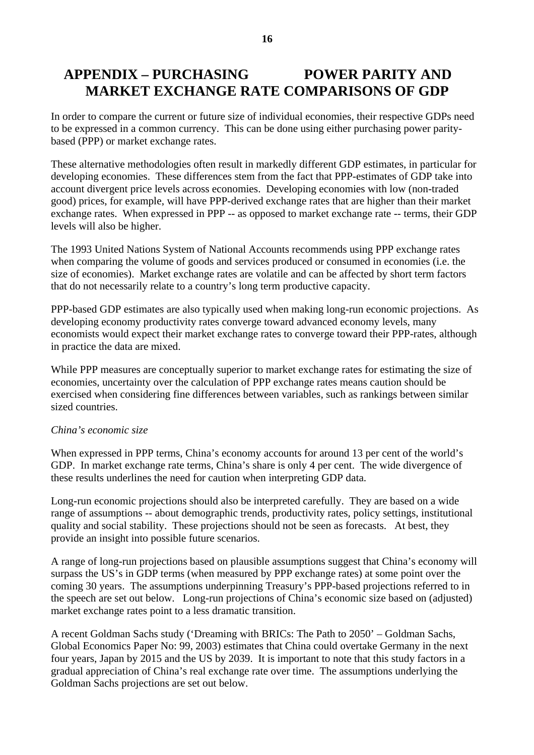### **APPENDIX – PURCHASING POWER PARITY AND MARKET EXCHANGE RATE COMPARISONS OF GDP**

In order to compare the current or future size of individual economies, their respective GDPs need to be expressed in a common currency. This can be done using either purchasing power paritybased (PPP) or market exchange rates.

These alternative methodologies often result in markedly different GDP estimates, in particular for developing economies. These differences stem from the fact that PPP-estimates of GDP take into account divergent price levels across economies. Developing economies with low (non-traded good) prices, for example, will have PPP-derived exchange rates that are higher than their market exchange rates. When expressed in PPP -- as opposed to market exchange rate -- terms, their GDP levels will also be higher.

The 1993 United Nations System of National Accounts recommends using PPP exchange rates when comparing the volume of goods and services produced or consumed in economies (i.e. the size of economies). Market exchange rates are volatile and can be affected by short term factors that do not necessarily relate to a country's long term productive capacity.

PPP-based GDP estimates are also typically used when making long-run economic projections. As developing economy productivity rates converge toward advanced economy levels, many economists would expect their market exchange rates to converge toward their PPP-rates, although in practice the data are mixed.

While PPP measures are conceptually superior to market exchange rates for estimating the size of economies, uncertainty over the calculation of PPP exchange rates means caution should be exercised when considering fine differences between variables, such as rankings between similar sized countries.

#### *China's economic size*

When expressed in PPP terms, China's economy accounts for around 13 per cent of the world's GDP. In market exchange rate terms, China's share is only 4 per cent. The wide divergence of these results underlines the need for caution when interpreting GDP data.

Long-run economic projections should also be interpreted carefully. They are based on a wide range of assumptions -- about demographic trends, productivity rates, policy settings, institutional quality and social stability. These projections should not be seen as forecasts. At best, they provide an insight into possible future scenarios.

A range of long-run projections based on plausible assumptions suggest that China's economy will surpass the US's in GDP terms (when measured by PPP exchange rates) at some point over the coming 30 years. The assumptions underpinning Treasury's PPP-based projections referred to in the speech are set out below. Long-run projections of China's economic size based on (adjusted) market exchange rates point to a less dramatic transition.

A recent Goldman Sachs study ('Dreaming with BRICs: The Path to 2050' – Goldman Sachs, Global Economics Paper No: 99, 2003) estimates that China could overtake Germany in the next four years, Japan by 2015 and the US by 2039. It is important to note that this study factors in a gradual appreciation of China's real exchange rate over time. The assumptions underlying the Goldman Sachs projections are set out below.